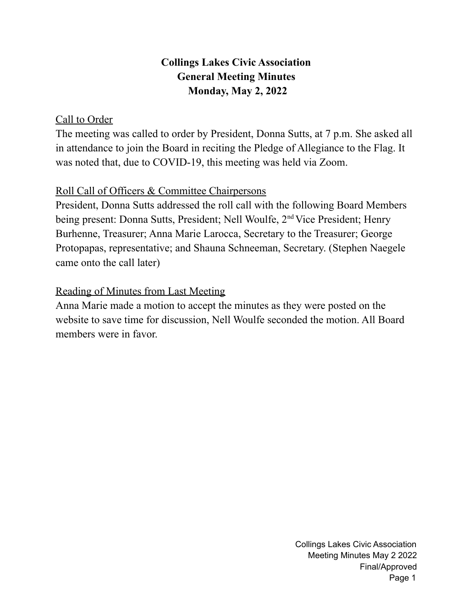# **Collings Lakes Civic Association General Meeting Minutes Monday, May 2, 2022**

## Call to Order

The meeting was called to order by President, Donna Sutts, at 7 p.m. She asked all in attendance to join the Board in reciting the Pledge of Allegiance to the Flag. It was noted that, due to COVID-19, this meeting was held via Zoom.

## Roll Call of Officers & Committee Chairpersons

President, Donna Sutts addressed the roll call with the following Board Members being present: Donna Sutts, President; Nell Woulfe, 2<sup>nd</sup> Vice President; Henry Burhenne, Treasurer; Anna Marie Larocca, Secretary to the Treasurer; George Protopapas, representative; and Shauna Schneeman, Secretary. (Stephen Naegele came onto the call later)

# Reading of Minutes from Last Meeting

Anna Marie made a motion to accept the minutes as they were posted on the website to save time for discussion, Nell Woulfe seconded the motion. All Board members were in favor.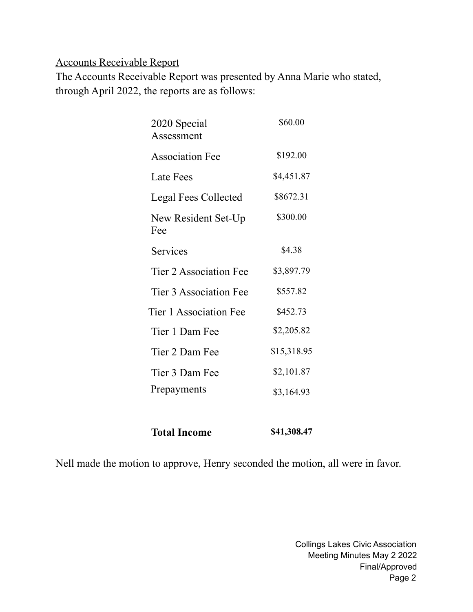## Accounts Receivable Report

The Accounts Receivable Report was presented by Anna Marie who stated, through April 2022, the reports are as follows:

| 2020 Special<br>Assessment | \$60.00     |
|----------------------------|-------------|
|                            |             |
| <b>Association Fee</b>     | \$192.00    |
| Late Fees                  | \$4,451.87  |
| Legal Fees Collected       | \$8672.31   |
| New Resident Set-Up<br>Fee | \$300.00    |
| Services                   | \$4.38      |
| Tier 2 Association Fee     | \$3,897.79  |
| Tier 3 Association Fee     | \$557.82    |
| Tier 1 Association Fee     | \$452.73    |
| Tier 1 Dam Fee             | \$2,205.82  |
| Tier 2 Dam Fee             | \$15,318.95 |
| Tier 3 Dam Fee             | \$2,101.87  |
| Prepayments                | \$3,164.93  |
|                            |             |

**Total Income \$41,308.47**

Nell made the motion to approve, Henry seconded the motion, all were in favor.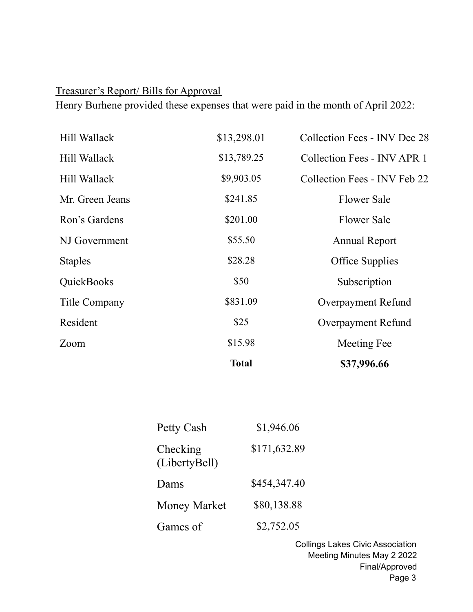# Treasurer's Report/ Bills for Approval

Henry Burhene provided these expenses that were paid in the month of April 2022:

|                 | <b>Total</b> | \$37,996.66                        |
|-----------------|--------------|------------------------------------|
| Zoom            | \$15.98      | Meeting Fee                        |
| Resident        | \$25         | Overpayment Refund                 |
| Title Company   | \$831.09     | Overpayment Refund                 |
| QuickBooks      | \$50         | Subscription                       |
| <b>Staples</b>  | \$28.28      | <b>Office Supplies</b>             |
| NJ Government   | \$55.50      | <b>Annual Report</b>               |
| Ron's Gardens   | \$201.00     | <b>Flower Sale</b>                 |
| Mr. Green Jeans | \$241.85     | <b>Flower Sale</b>                 |
| Hill Wallack    | \$9,903.05   | Collection Fees - INV Feb 22       |
| Hill Wallack    | \$13,789.25  | <b>Collection Fees - INV APR 1</b> |
| Hill Wallack    | \$13,298.01  | Collection Fees - INV Dec 28       |

| Petty Cash                | \$1,946.06   |
|---------------------------|--------------|
| Checking<br>(LibertyBell) | \$171,632.89 |
| Dams                      | \$454,347.40 |
| <b>Money Market</b>       | \$80,138.88  |
| Games of                  | \$2,752.05   |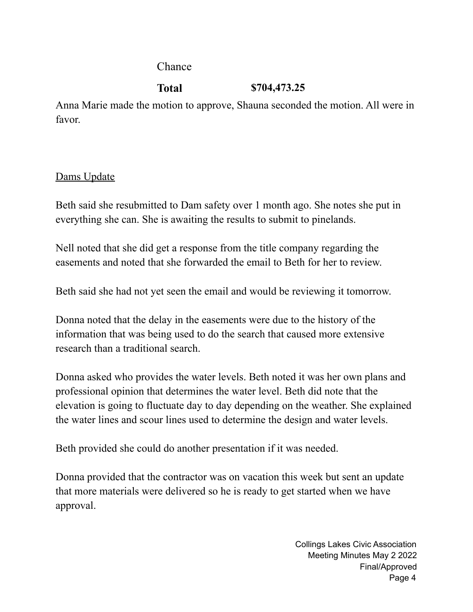Chance

# **Total \$704,473.25**

Anna Marie made the motion to approve, Shauna seconded the motion. All were in favor.

# Dams Update

Beth said she resubmitted to Dam safety over 1 month ago. She notes she put in everything she can. She is awaiting the results to submit to pinelands.

Nell noted that she did get a response from the title company regarding the easements and noted that she forwarded the email to Beth for her to review.

Beth said she had not yet seen the email and would be reviewing it tomorrow.

Donna noted that the delay in the easements were due to the history of the information that was being used to do the search that caused more extensive research than a traditional search.

Donna asked who provides the water levels. Beth noted it was her own plans and professional opinion that determines the water level. Beth did note that the elevation is going to fluctuate day to day depending on the weather. She explained the water lines and scour lines used to determine the design and water levels.

Beth provided she could do another presentation if it was needed.

Donna provided that the contractor was on vacation this week but sent an update that more materials were delivered so he is ready to get started when we have approval.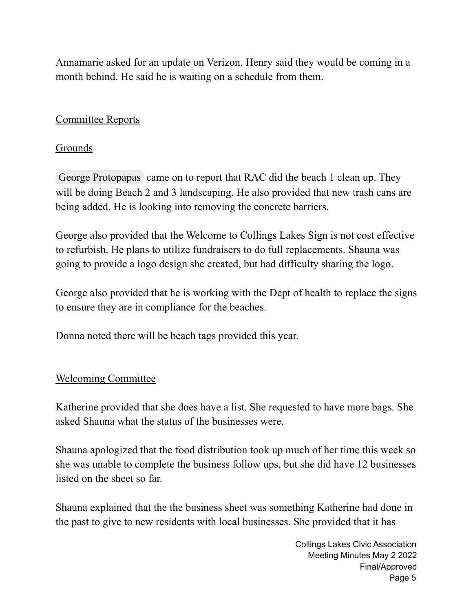Annamarie asked for an update on Verizon. Henry said they would be coming in a month behind. He said he is waiting on a schedule from them.

## Committee Reports

#### **Grounds**

George [Protopapas](mailto:gprotopapas@collingslakes.org) came on to report that RAC did the beach 1 clean up. They will be doing Beach 2 and 3 landscaping. He also provided that new trash cans are being added. He is looking into removing the concrete barriers.

George also provided that the Welcome to Collings Lakes Sign is not cost effective to refurbish. He plans to utilize fundraisers to do full replacements. Shauna was going to provide a logo design she created, but had difficulty sharing the logo.

George also provided that he is working with the Dept of health to replace the signs to ensure they are in compliance for the beaches.

Donna noted there will be beach tags provided this year.

## Welcoming Committee

Katherine provided that she does have a list. She requested to have more bags. She asked Shauna what the status of the businesses were.

Shauna apologized that the food distribution took up much of her time this week so she was unable to complete the business follow ups, but she did have 12 businesses listed on the sheet so far.

Shauna explained that the the business sheet was something Katherine had done in the past to give to new residents with local businesses. She provided that it has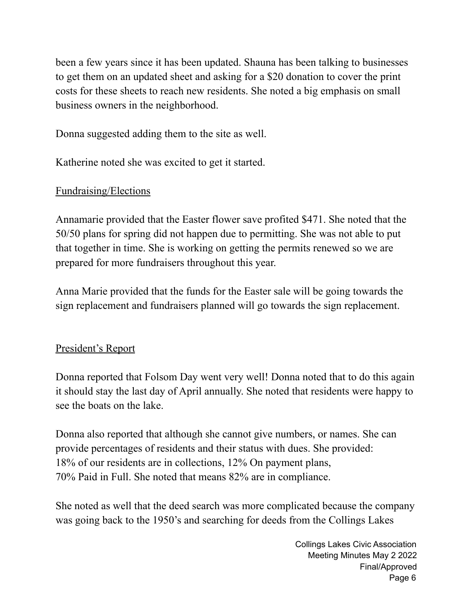been a few years since it has been updated. Shauna has been talking to businesses to get them on an updated sheet and asking for a \$20 donation to cover the print costs for these sheets to reach new residents. She noted a big emphasis on small business owners in the neighborhood.

Donna suggested adding them to the site as well.

Katherine noted she was excited to get it started.

# Fundraising/Elections

Annamarie provided that the Easter flower save profited \$471. She noted that the 50/50 plans for spring did not happen due to permitting. She was not able to put that together in time. She is working on getting the permits renewed so we are prepared for more fundraisers throughout this year.

Anna Marie provided that the funds for the Easter sale will be going towards the sign replacement and fundraisers planned will go towards the sign replacement.

# President's Report

Donna reported that Folsom Day went very well! Donna noted that to do this again it should stay the last day of April annually. She noted that residents were happy to see the boats on the lake.

Donna also reported that although she cannot give numbers, or names. She can provide percentages of residents and their status with dues. She provided: 18% of our residents are in collections, 12% On payment plans, 70% Paid in Full. She noted that means 82% are in compliance.

She noted as well that the deed search was more complicated because the company was going back to the 1950's and searching for deeds from the Collings Lakes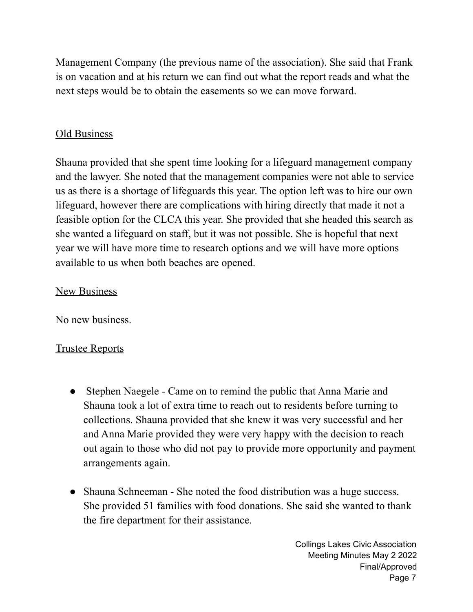Management Company (the previous name of the association). She said that Frank is on vacation and at his return we can find out what the report reads and what the next steps would be to obtain the easements so we can move forward.

## Old Business

Shauna provided that she spent time looking for a lifeguard management company and the lawyer. She noted that the management companies were not able to service us as there is a shortage of lifeguards this year. The option left was to hire our own lifeguard, however there are complications with hiring directly that made it not a feasible option for the CLCA this year. She provided that she headed this search as she wanted a lifeguard on staff, but it was not possible. She is hopeful that next year we will have more time to research options and we will have more options available to us when both beaches are opened.

## New Business

No new business.

## Trustee Reports

- Stephen Naegele Came on to remind the public that Anna Marie and Shauna took a lot of extra time to reach out to residents before turning to collections. Shauna provided that she knew it was very successful and her and Anna Marie provided they were very happy with the decision to reach out again to those who did not pay to provide more opportunity and payment arrangements again.
- Shauna Schneeman She noted the food distribution was a huge success. She provided 51 families with food donations. She said she wanted to thank the fire department for their assistance.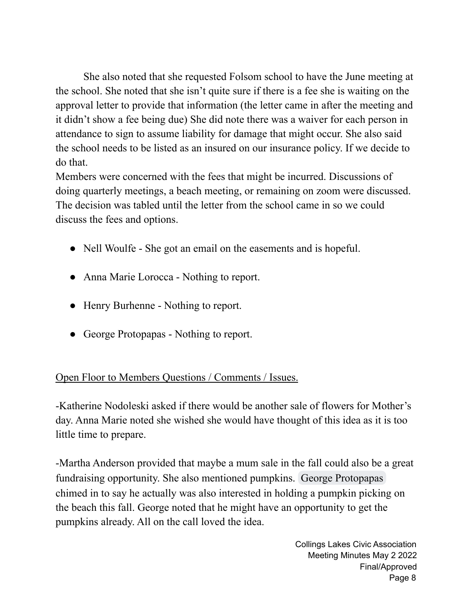She also noted that she requested Folsom school to have the June meeting at the school. She noted that she isn't quite sure if there is a fee she is waiting on the approval letter to provide that information (the letter came in after the meeting and it didn't show a fee being due) She did note there was a waiver for each person in attendance to sign to assume liability for damage that might occur. She also said the school needs to be listed as an insured on our insurance policy. If we decide to do that.

Members were concerned with the fees that might be incurred. Discussions of doing quarterly meetings, a beach meeting, or remaining on zoom were discussed. The decision was tabled until the letter from the school came in so we could discuss the fees and options.

- Nell Woulfe She got an email on the easements and is hopeful.
- Anna Marie Lorocca Nothing to report.
- Henry Burhenne Nothing to report.
- George Protopapas Nothing to report.

# Open Floor to Members Questions / Comments / Issues.

-Katherine Nodoleski asked if there would be another sale of flowers for Mother's day. Anna Marie noted she wished she would have thought of this idea as it is too little time to prepare.

-Martha Anderson provided that maybe a mum sale in the fall could also be a great fundraising opportunity. She also mentioned pumpkins. George [Protopapas](mailto:gprotopapas@collingslakes.org) chimed in to say he actually was also interested in holding a pumpkin picking on the beach this fall. George noted that he might have an opportunity to get the pumpkins already. All on the call loved the idea.